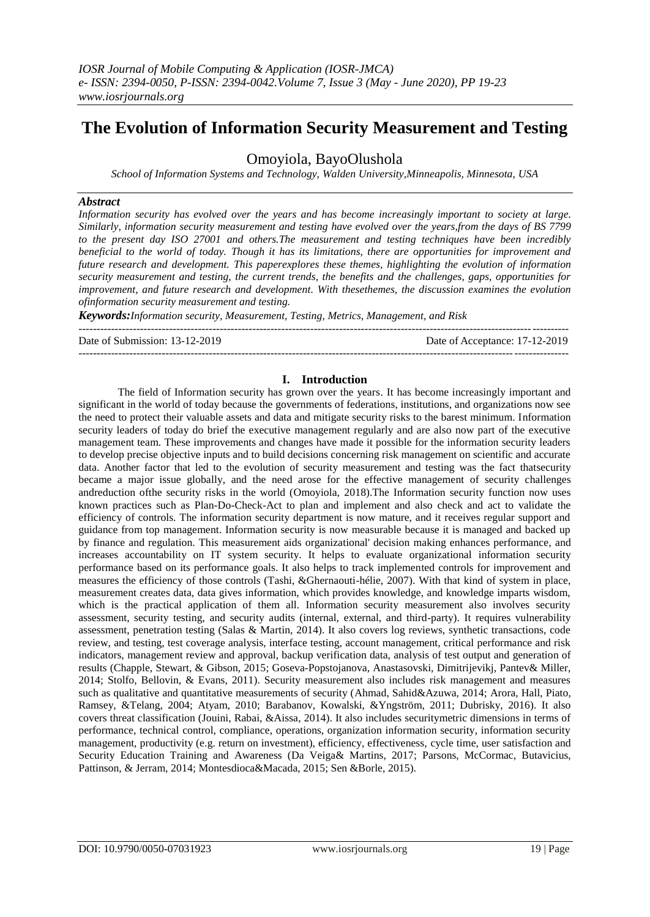# **The Evolution of Information Security Measurement and Testing**

# Omoyiola, BayoOlushola

*School of Information Systems and Technology, Walden University,Minneapolis, Minnesota, USA*

# *Abstract*

*Information security has evolved over the years and has become increasingly important to society at large. Similarly, information security measurement and testing have evolved over the years,from the days of BS 7799 to the present day ISO 27001 and others.The measurement and testing techniques have been incredibly beneficial to the world of today. Though it has its limitations, there are opportunities for improvement and future research and development. This paperexplores these themes, highlighting the evolution of information security measurement and testing, the current trends, the benefits and the challenges, gaps, opportunities for improvement, and future research and development. With thesethemes, the discussion examines the evolution ofinformation security measurement and testing.*

*Keywords:Information security, Measurement, Testing, Metrics, Management, and Risk*

| Date of Submission: 13-12-2019 | Date of Acceptance: 17-12-2019 |
|--------------------------------|--------------------------------|
|                                |                                |

# **I. Introduction**

The field of Information security has grown over the years. It has become increasingly important and significant in the world of today because the governments of federations, institutions, and organizations now see the need to protect their valuable assets and data and mitigate security risks to the barest minimum. Information security leaders of today do brief the executive management regularly and are also now part of the executive management team. These improvements and changes have made it possible for the information security leaders to develop precise objective inputs and to build decisions concerning risk management on scientific and accurate data. Another factor that led to the evolution of security measurement and testing was the fact thatsecurity became a major issue globally, and the need arose for the effective management of security challenges andreduction ofthe security risks in the world (Omoyiola, 2018).The Information security function now uses known practices such as Plan-Do-Check-Act to plan and implement and also check and act to validate the efficiency of controls. The information security department is now mature, and it receives regular support and guidance from top management. Information security is now measurable because it is managed and backed up by finance and regulation. This measurement aids organizational' decision making enhances performance, and increases accountability on IT system security. It helps to evaluate organizational information security performance based on its performance goals. It also helps to track implemented controls for improvement and measures the efficiency of those controls (Tashi, &Ghernaouti-hélie, 2007). With that kind of system in place, measurement creates data, data gives information, which provides knowledge, and knowledge imparts wisdom, which is the practical application of them all. Information security measurement also involves security assessment, security testing, and security audits (internal, external, and third-party). It requires vulnerability assessment, penetration testing (Salas & Martin, 2014). It also covers log reviews, synthetic transactions, code review, and testing, test coverage analysis, interface testing, account management, critical performance and risk indicators, management review and approval, backup verification data, analysis of test output and generation of results (Chapple, Stewart, & Gibson, 2015; Goseva-Popstojanova, Anastasovski, Dimitrijevikj, Pantev& Miller, 2014; Stolfo, Bellovin, & Evans, 2011). Security measurement also includes risk management and measures such as qualitative and quantitative measurements of security (Ahmad, Sahid&Azuwa, 2014; Arora, Hall, Piato, Ramsey, &Telang, 2004; Atyam, 2010; Barabanov, Kowalski, &Yngström, 2011; Dubrisky, 2016). It also covers threat classification (Jouini, Rabai, &Aissa, 2014). It also includes securitymetric dimensions in terms of performance, technical control, compliance, operations, organization information security, information security management, productivity (e.g. return on investment), efficiency, effectiveness, cycle time, user satisfaction and Security Education Training and Awareness (Da Veiga& Martins, 2017; Parsons, McCormac, Butavicius, Pattinson, & Jerram, 2014; Montesdioca&Macada, 2015; Sen &Borle, 2015).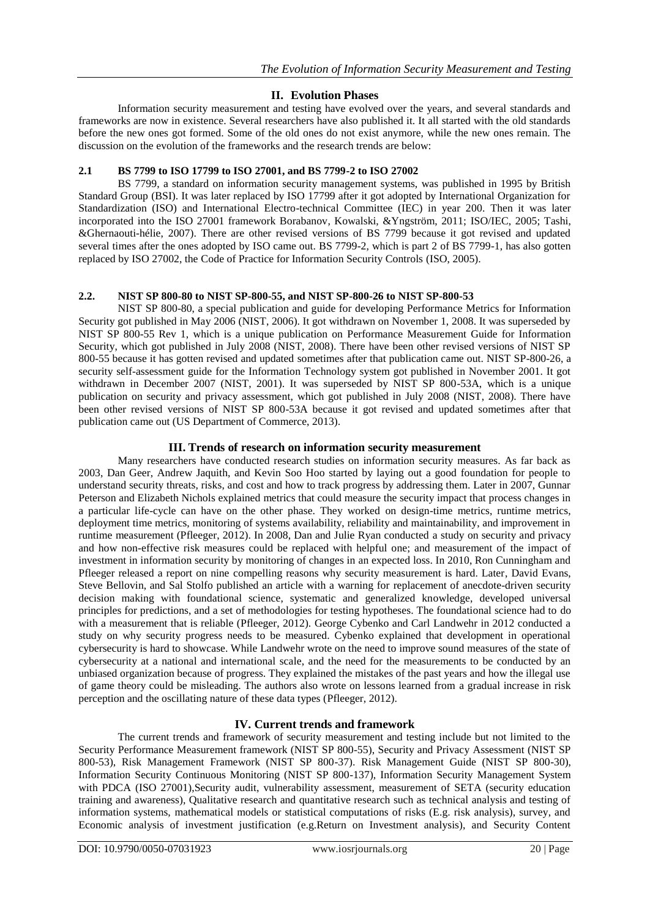# **II. Evolution Phases**

Information security measurement and testing have evolved over the years, and several standards and frameworks are now in existence. Several researchers have also published it. It all started with the old standards before the new ones got formed. Some of the old ones do not exist anymore, while the new ones remain. The discussion on the evolution of the frameworks and the research trends are below:

# **2.1 BS 7799 to ISO 17799 to ISO 27001, and BS 7799-2 to ISO 27002**

BS 7799, a standard on information security management systems, was published in 1995 by British Standard Group (BSI). It was later replaced by ISO 17799 after it got adopted by International Organization for Standardization (ISO) and International Electro-technical Committee (IEC) in year 200. Then it was later incorporated into the ISO 27001 framework Borabanov, Kowalski, &Yngström, 2011; ISO/IEC, 2005; Tashi, &Ghernaouti-hélie, 2007). There are other revised versions of BS 7799 because it got revised and updated several times after the ones adopted by ISO came out. BS 7799-2, which is part 2 of BS 7799-1, has also gotten replaced by ISO 27002, the Code of Practice for Information Security Controls (ISO, 2005).

# **2.2. NIST SP 800-80 to NIST SP-800-55, and NIST SP-800-26 to NIST SP-800-53**

NIST SP 800-80, a special publication and guide for developing Performance Metrics for Information Security got published in May 2006 (NIST, 2006). It got withdrawn on November 1, 2008. It was superseded by NIST SP 800-55 Rev 1, which is a unique publication on Performance Measurement Guide for Information Security, which got published in July 2008 (NIST, 2008). There have been other revised versions of NIST SP 800-55 because it has gotten revised and updated sometimes after that publication came out. NIST SP-800-26, a security self-assessment guide for the Information Technology system got published in November 2001. It got withdrawn in December 2007 (NIST, 2001). It was superseded by NIST SP 800-53A, which is a unique publication on security and privacy assessment, which got published in July 2008 (NIST, 2008). There have been other revised versions of NIST SP 800-53A because it got revised and updated sometimes after that publication came out (US Department of Commerce, 2013).

# **III. Trends of research on information security measurement**

Many researchers have conducted research studies on information security measures. As far back as 2003, Dan Geer, Andrew Jaquith, and Kevin Soo Hoo started by laying out a good foundation for people to understand security threats, risks, and cost and how to track progress by addressing them. Later in 2007, Gunnar Peterson and Elizabeth Nichols explained metrics that could measure the security impact that process changes in a particular life-cycle can have on the other phase. They worked on design-time metrics, runtime metrics, deployment time metrics, monitoring of systems availability, reliability and maintainability, and improvement in runtime measurement (Pfleeger, 2012). In 2008, Dan and Julie Ryan conducted a study on security and privacy and how non-effective risk measures could be replaced with helpful one; and measurement of the impact of investment in information security by monitoring of changes in an expected loss. In 2010, Ron Cunningham and Pfleeger released a report on nine compelling reasons why security measurement is hard. Later, David Evans, Steve Bellovin, and Sal Stolfo published an article with a warning for replacement of anecdote-driven security decision making with foundational science, systematic and generalized knowledge, developed universal principles for predictions, and a set of methodologies for testing hypotheses. The foundational science had to do with a measurement that is reliable (Pfleeger, 2012). George Cybenko and Carl Landwehr in 2012 conducted a study on why security progress needs to be measured. Cybenko explained that development in operational cybersecurity is hard to showcase. While Landwehr wrote on the need to improve sound measures of the state of cybersecurity at a national and international scale, and the need for the measurements to be conducted by an unbiased organization because of progress. They explained the mistakes of the past years and how the illegal use of game theory could be misleading. The authors also wrote on lessons learned from a gradual increase in risk perception and the oscillating nature of these data types (Pfleeger, 2012).

#### **IV. Current trends and framework**

The current trends and framework of security measurement and testing include but not limited to the Security Performance Measurement framework (NIST SP 800-55), Security and Privacy Assessment (NIST SP 800-53), Risk Management Framework (NIST SP 800-37). Risk Management Guide (NIST SP 800-30), Information Security Continuous Monitoring (NIST SP 800-137), Information Security Management System with PDCA (ISO 27001), Security audit, vulnerability assessment, measurement of SETA (security education training and awareness), Qualitative research and quantitative research such as technical analysis and testing of information systems, mathematical models or statistical computations of risks (E.g. risk analysis), survey, and Economic analysis of investment justification (e.g.Return on Investment analysis), and Security Content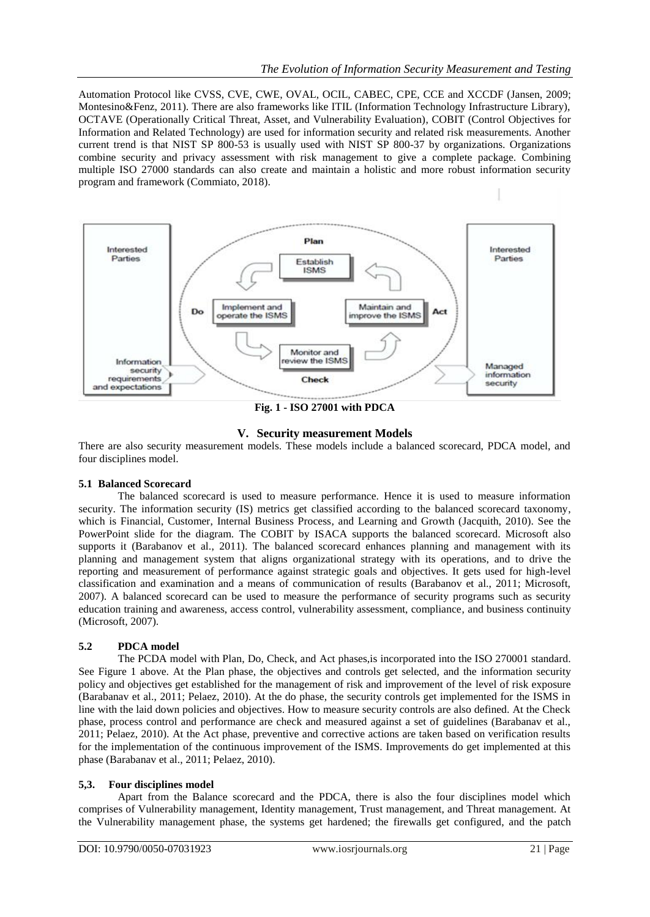Automation Protocol like CVSS, CVE, CWE, OVAL, OCIL, CABEC, CPE, CCE and XCCDF (Jansen, 2009; Montesino&Fenz, 2011). There are also frameworks like ITIL (Information Technology Infrastructure Library), OCTAVE (Operationally Critical Threat, Asset, and Vulnerability Evaluation), COBIT (Control Objectives for Information and Related Technology) are used for information security and related risk measurements. Another current trend is that NIST SP 800-53 is usually used with NIST SP 800-37 by organizations. Organizations combine security and privacy assessment with risk management to give a complete package. Combining multiple ISO 27000 standards can also create and maintain a holistic and more robust information security program and framework (Commiato, 2018).



**Fig. 1 - ISO 27001 with PDCA**



There are also security measurement models. These models include a balanced scorecard, PDCA model, and four disciplines model.

#### **5.1 Balanced Scorecard**

The balanced scorecard is used to measure performance. Hence it is used to measure information security. The information security (IS) metrics get classified according to the balanced scorecard taxonomy, which is Financial, Customer, Internal Business Process, and Learning and Growth (Jacquith, 2010). See the PowerPoint slide for the diagram. The COBIT by ISACA supports the balanced scorecard. Microsoft also supports it (Barabanov et al., 2011). The balanced scorecard enhances planning and management with its planning and management system that aligns organizational strategy with its operations, and to drive the reporting and measurement of performance against strategic goals and objectives. It gets used for high-level classification and examination and a means of communication of results (Barabanov et al., 2011; Microsoft, 2007). A balanced scorecard can be used to measure the performance of security programs such as security education training and awareness, access control, vulnerability assessment, compliance, and business continuity (Microsoft, 2007).

# **5.2 PDCA model**

The PCDA model with Plan, Do, Check, and Act phases,is incorporated into the ISO 270001 standard. See Figure 1 above. At the Plan phase, the objectives and controls get selected, and the information security policy and objectives get established for the management of risk and improvement of the level of risk exposure (Barabanav et al., 2011; Pelaez, 2010). At the do phase, the security controls get implemented for the ISMS in line with the laid down policies and objectives. How to measure security controls are also defined. At the Check phase, process control and performance are check and measured against a set of guidelines (Barabanav et al., 2011; Pelaez, 2010). At the Act phase, preventive and corrective actions are taken based on verification results for the implementation of the continuous improvement of the ISMS. Improvements do get implemented at this phase (Barabanav et al., 2011; Pelaez, 2010).

# **5,3. Four disciplines model**

Apart from the Balance scorecard and the PDCA, there is also the four disciplines model which comprises of Vulnerability management, Identity management, Trust management, and Threat management. At the Vulnerability management phase, the systems get hardened; the firewalls get configured, and the patch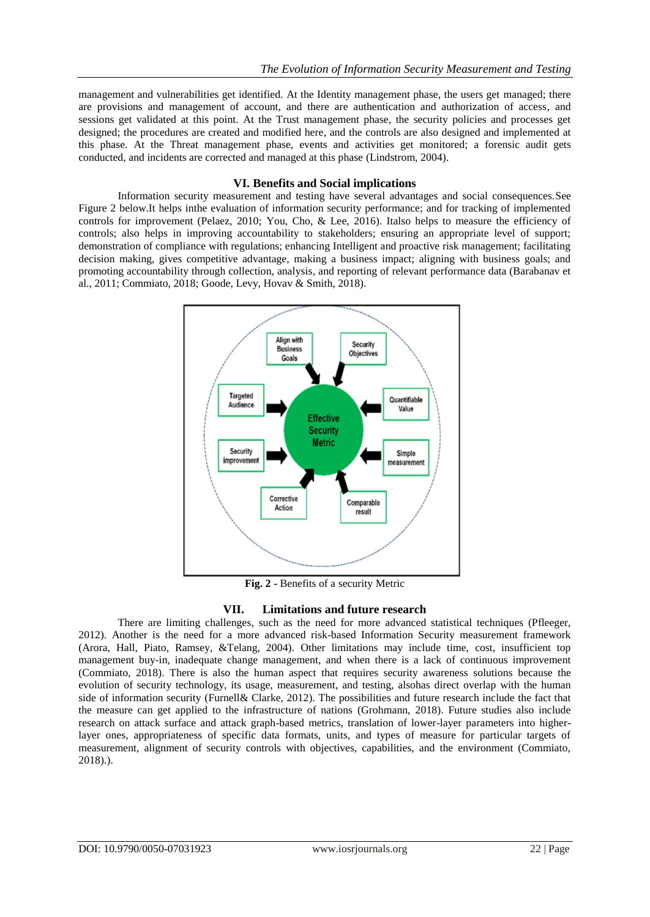management and vulnerabilities get identified. At the Identity management phase, the users get managed; there are provisions and management of account, and there are authentication and authorization of access, and sessions get validated at this point. At the Trust management phase, the security policies and processes get designed; the procedures are created and modified here, and the controls are also designed and implemented at this phase. At the Threat management phase, events and activities get monitored; a forensic audit gets conducted, and incidents are corrected and managed at this phase (Lindstrom, 2004).

# **VI. Benefits and Social implications**

Information security measurement and testing have several advantages and social consequences.See Figure 2 below.It helps inthe evaluation of information security performance; and for tracking of implemented controls for improvement (Pelaez, 2010; You, Cho, & Lee, 2016). Italso helps to measure the efficiency of controls; also helps in improving accountability to stakeholders; ensuring an appropriate level of support; demonstration of compliance with regulations; enhancing Intelligent and proactive risk management; facilitating decision making, gives competitive advantage, making a business impact; aligning with business goals; and promoting accountability through collection, analysis, and reporting of relevant performance data (Barabanav et al., 2011; Commiato, 2018; Goode, Levy, Hovav & Smith, 2018).



**Fig. 2 -** Benefits of a security Metric

# **VII. Limitations and future research**

There are limiting challenges, such as the need for more advanced statistical techniques (Pfleeger, 2012). Another is the need for a more advanced risk-based Information Security measurement framework (Arora, Hall, Piato, Ramsey, &Telang, 2004). Other limitations may include time, cost, insufficient top management buy-in, inadequate change management, and when there is a lack of continuous improvement (Commiato, 2018). There is also the human aspect that requires security awareness solutions because the evolution of security technology, its usage, measurement, and testing, alsohas direct overlap with the human side of information security (Furnell& Clarke, 2012). The possibilities and future research include the fact that the measure can get applied to the infrastructure of nations (Grohmann, 2018). Future studies also include research on attack surface and attack graph-based metrics, translation of lower-layer parameters into higherlayer ones, appropriateness of specific data formats, units, and types of measure for particular targets of measurement, alignment of security controls with objectives, capabilities, and the environment (Commiato, 2018).).